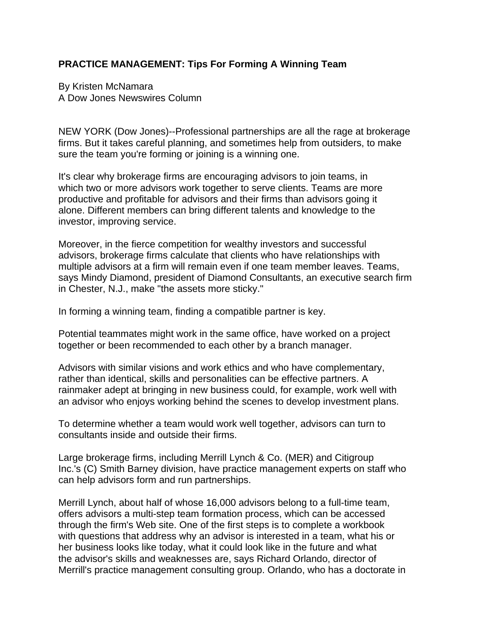## **PRACTICE MANAGEMENT: Tips For Forming A Winning Team**

By Kristen McNamara A Dow Jones Newswires Column

NEW YORK (Dow Jones)--Professional partnerships are all the rage at brokerage firms. But it takes careful planning, and sometimes help from outsiders, to make sure the team you're forming or joining is a winning one.

It's clear why brokerage firms are encouraging advisors to join teams, in which two or more advisors work together to serve clients. Teams are more productive and profitable for advisors and their firms than advisors going it alone. Different members can bring different talents and knowledge to the investor, improving service.

Moreover, in the fierce competition for wealthy investors and successful advisors, brokerage firms calculate that clients who have relationships with multiple advisors at a firm will remain even if one team member leaves. Teams, says Mindy Diamond, president of Diamond Consultants, an executive search firm in Chester, N.J., make "the assets more sticky."

In forming a winning team, finding a compatible partner is key.

Potential teammates might work in the same office, have worked on a project together or been recommended to each other by a branch manager.

Advisors with similar visions and work ethics and who have complementary, rather than identical, skills and personalities can be effective partners. A rainmaker adept at bringing in new business could, for example, work well with an advisor who enjoys working behind the scenes to develop investment plans.

To determine whether a team would work well together, advisors can turn to consultants inside and outside their firms.

Large brokerage firms, including Merrill Lynch & Co. (MER) and Citigroup Inc.'s (C) Smith Barney division, have practice management experts on staff who can help advisors form and run partnerships.

Merrill Lynch, about half of whose 16,000 advisors belong to a full-time team, offers advisors a multi-step team formation process, which can be accessed through the firm's Web site. One of the first steps is to complete a workbook with questions that address why an advisor is interested in a team, what his or her business looks like today, what it could look like in the future and what the advisor's skills and weaknesses are, says Richard Orlando, director of Merrill's practice management consulting group. Orlando, who has a doctorate in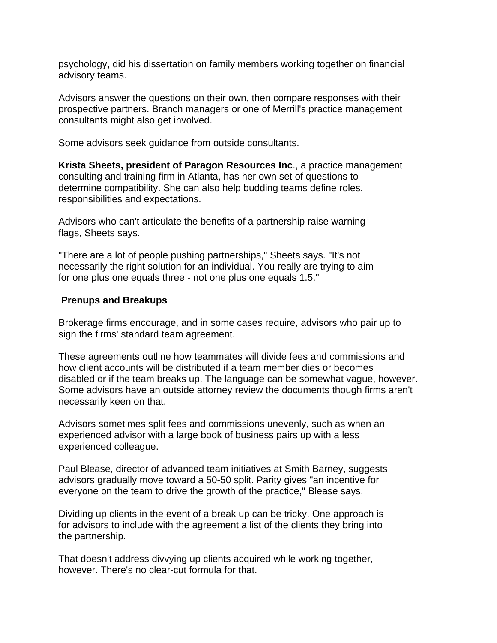psychology, did his dissertation on family members working together on financial advisory teams.

Advisors answer the questions on their own, then compare responses with their prospective partners. Branch managers or one of Merrill's practice management consultants might also get involved.

Some advisors seek guidance from outside consultants.

**Krista Sheets, president of Paragon Resources Inc**., a practice management consulting and training firm in Atlanta, has her own set of questions to determine compatibility. She can also help budding teams define roles, responsibilities and expectations.

Advisors who can't articulate the benefits of a partnership raise warning flags, Sheets says.

"There are a lot of people pushing partnerships," Sheets says. "It's not necessarily the right solution for an individual. You really are trying to aim for one plus one equals three - not one plus one equals 1.5."

## **Prenups and Breakups**

Brokerage firms encourage, and in some cases require, advisors who pair up to sign the firms' standard team agreement.

These agreements outline how teammates will divide fees and commissions and how client accounts will be distributed if a team member dies or becomes disabled or if the team breaks up. The language can be somewhat vague, however. Some advisors have an outside attorney review the documents though firms aren't necessarily keen on that.

Advisors sometimes split fees and commissions unevenly, such as when an experienced advisor with a large book of business pairs up with a less experienced colleague.

Paul Blease, director of advanced team initiatives at Smith Barney, suggests advisors gradually move toward a 50-50 split. Parity gives "an incentive for everyone on the team to drive the growth of the practice," Blease says.

Dividing up clients in the event of a break up can be tricky. One approach is for advisors to include with the agreement a list of the clients they bring into the partnership.

That doesn't address divvying up clients acquired while working together, however. There's no clear-cut formula for that.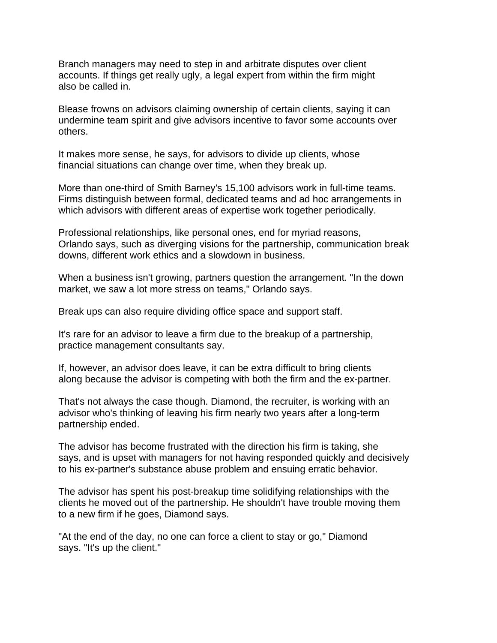Branch managers may need to step in and arbitrate disputes over client accounts. If things get really ugly, a legal expert from within the firm might also be called in.

Blease frowns on advisors claiming ownership of certain clients, saying it can undermine team spirit and give advisors incentive to favor some accounts over others.

It makes more sense, he says, for advisors to divide up clients, whose financial situations can change over time, when they break up.

More than one-third of Smith Barney's 15,100 advisors work in full-time teams. Firms distinguish between formal, dedicated teams and ad hoc arrangements in which advisors with different areas of expertise work together periodically.

Professional relationships, like personal ones, end for myriad reasons, Orlando says, such as diverging visions for the partnership, communication break downs, different work ethics and a slowdown in business.

When a business isn't growing, partners question the arrangement. "In the down market, we saw a lot more stress on teams," Orlando says.

Break ups can also require dividing office space and support staff.

It's rare for an advisor to leave a firm due to the breakup of a partnership, practice management consultants say.

If, however, an advisor does leave, it can be extra difficult to bring clients along because the advisor is competing with both the firm and the ex-partner.

That's not always the case though. Diamond, the recruiter, is working with an advisor who's thinking of leaving his firm nearly two years after a long-term partnership ended.

The advisor has become frustrated with the direction his firm is taking, she says, and is upset with managers for not having responded quickly and decisively to his ex-partner's substance abuse problem and ensuing erratic behavior.

The advisor has spent his post-breakup time solidifying relationships with the clients he moved out of the partnership. He shouldn't have trouble moving them to a new firm if he goes, Diamond says.

"At the end of the day, no one can force a client to stay or go," Diamond says. "It's up the client."